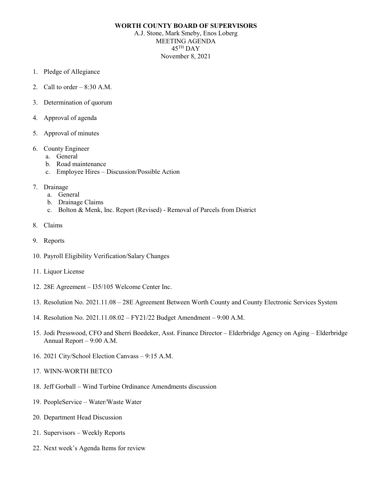## **WORTH COUNTY BOARD OF SUPERVISORS**

A.J. Stone, Mark Smeby, Enos Loberg MEETING AGENDA  $45$ <sup>TH</sup> DAY November 8, 2021

- 1. Pledge of Allegiance
- 2. Call to order  $-8:30$  A.M.
- 3. Determination of quorum
- 4. Approval of agenda
- 5. Approval of minutes
- 6. County Engineer
	- a. General
	- b. Road maintenance
	- c. Employee Hires Discussion/Possible Action
- 7. Drainage
	- a. General
	- b. Drainage Claims
	- c. Bolton & Menk, Inc. Report (Revised) Removal of Parcels from District
- 8. Claims
- 9. Reports
- 10. Payroll Eligibility Verification/Salary Changes
- 11. Liquor License
- 12. 28E Agreement I35/105 Welcome Center Inc.
- 13. Resolution No. 2021.11.08 28E Agreement Between Worth County and County Electronic Services System
- 14. Resolution No. 2021.11.08.02 FY21/22 Budget Amendment 9:00 A.M.
- 15. Jodi Presswood, CFO and Sherri Boedeker, Asst. Finance Director Elderbridge Agency on Aging Elderbridge Annual Report – 9:00 A.M.
- 16. 2021 City/School Election Canvass 9:15 A.M.
- 17. WINN-WORTH BETCO
- 18. Jeff Gorball Wind Turbine Ordinance Amendments discussion
- 19. PeopleService Water/Waste Water
- 20. Department Head Discussion
- 21. Supervisors Weekly Reports
- 22. Next week's Agenda Items for review